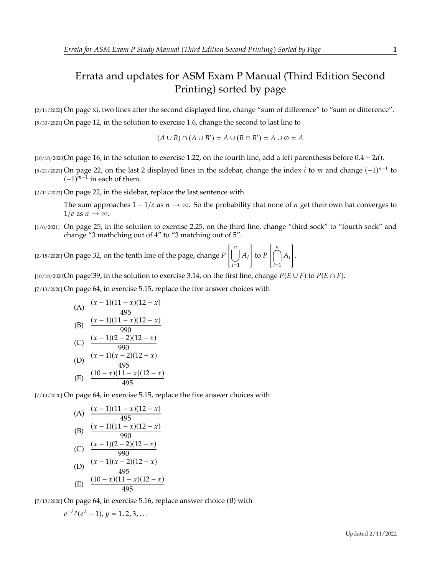## Errata and updates for ASM Exam P Manual (Third Edition Second Printing) sorted by page

[2/11/2022] On page xi, two lines after the second displayed line, change "sum of difference" to "sum or difference". [5/30/2021] On page 12, in the solution to exercise 1.6, change the second to last line to

$$
(A \cup B) \cap (A \cup B') = A \cup (B \cap B') = A \cup \emptyset = A
$$

[ $10/18/2020$ On page 16, in the solution to exercise 1.22, on the fourth line, add a left parenthesis before  $0.4 - 2d$ ).

[5/21/2021] On page 22, on the last 2 displayed lines in the sidebar, change the index *i* to *m* and change  $(-1)^{n-1}$  to  $(-1)^{m-1}$  in each of them  $(-1)^{m-1}$  in each of them.

[2/11/2022] On page 22, in the sidebar, replace the last sentence with

The sum approaches  $1 - 1/e$  as  $n \to \infty$ . So the probability that none of *n* get their own hat converges to  $1/e$  as  $n \to \infty$ .

[1/6/2021] On page 25, in the solution to exercise 2.25, on the third line, change "third sock" to "fourth sock" and change "3 mathching out of 4" to "3 matching out of 5".

 $[2/18/2020]$  On page 32, on the tenth line of the page, change  $P$  $\left[\begin{array}{c} n \\ l \end{array}\right]$  $\bigcup_{i=1}$ 1 to  $P$  $\bigcap_{n=1}^{\infty}$  $\begin{array}{c} 1 \\ i = 1 \end{array}$ 1 .

[10/18/2020]On page!39, in the solution to exercise 3.14, on the first line, change  $P(E \cup F)$  to  $P(E \cap F)$ .

[7/13/2020] On page 64, in exercise 5.15, replace the five answer choices with

(A) 
$$
\frac{(x-1)(11-x)(12-x)}{495}
$$
\n(B) 
$$
\frac{(x-1)(11-x)(12-x)}{990}
$$
\n(C) 
$$
\frac{(x-1)(2-2)(12-x)}{990}
$$
\n(D) 
$$
\frac{(x-1)(x-2)(12-x)}{495}
$$
\n(E) 
$$
\frac{(10-x)(11-x)(12-x)}{495}
$$

[7/13/2020] On page 64, in exercise 5.15, replace the five answer choices with

(A) 
$$
\frac{(x-1)(11-x)(12-x)}{495}
$$
\n(B) 
$$
\frac{(x-1)(11-x)(12-x)}{990}
$$
\n(C) 
$$
\frac{(x-1)(2-2)(12-x)}{990}
$$
\n(D) 
$$
\frac{(x-1)(x-2)(12-x)}{495}
$$
\n(E) 
$$
\frac{(10-x)(11-x)(12-x)}{495}
$$

[7/13/2020] On page 64, in exercise 5.16, replace answer choice (B) with

$$
e^{-\lambda y}(e^{\lambda}-1), y=1,2,3,\ldots
$$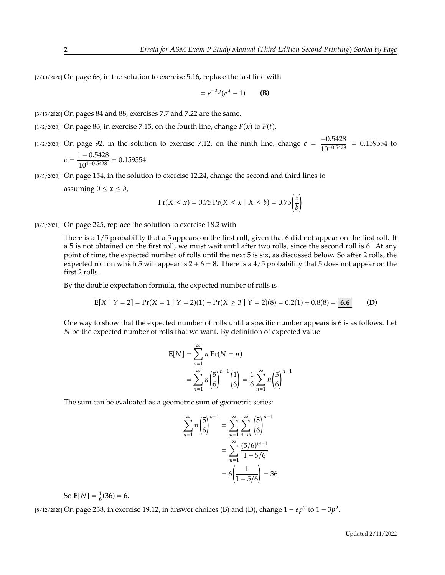[7/13/2020] On page 68, in the solution to exercise 5.16, replace the last line with

$$
= e^{-\lambda y} (e^{\lambda} - 1)
$$
 (B)

[3/13/2020] On pages 84 and 88, exercises 7.7 and 7.22 are the same.

- [1/2/2020] On page 86, in exercise 7.15, on the fourth line, change  $F(x)$  to  $F(t)$ .
- [1/2/2020] On page 92, in the solution to exercise 7.12, on the ninth line, change  $c = \frac{-0.5428}{10^{-0.5428}}$  $\frac{0.0120}{10^{-0.5428}} = 0.159554$  to  $c = \frac{1 - 0.5428}{10^{1 - 0.5428}}$  $\frac{10.0126}{10^{1-0.5428}} = 0.159554.$

[8/3/2020] On page 154, in the solution to exercise 12.24, change the second and third lines to assuming  $0 \le x \le b$ ,

$$
\Pr(X \le x) = 0.75 \Pr(X \le x \mid X \le b) = 0.75 \left(\frac{x}{b}\right)
$$

[8/5/2021] On page 225, replace the solution to exercise 18.2 with

There is a 1/5 probability that a 5 appears on the first roll, given that 6 did not appear on the first roll. If a 5 is not obtained on the first roll, we must wait until after two rolls, since the second roll is 6. At any point of time, the expected number of rolls until the next 5 is six, as discussed below. So after 2 rolls, the expected roll on which 5 will appear is  $2 + 6 = 8$ . There is a 4/5 probability that 5 does not appear on the first 2 rolls.

By the double expectation formula, the expected number of rolls is

$$
E[X \mid Y = 2] = Pr(X = 1 \mid Y = 2)(1) + Pr(X \ge 3 \mid Y = 2)(8) = 0.2(1) + 0.8(8) = 6.6
$$
 (D)

One way to show that the expected number of rolls until a specific number appears is 6 is as follows. Let  $N$  be the expected number of rolls that we want. By definition of expected value

$$
\mathbf{E}[N] = \sum_{n=1}^{\infty} n \Pr(N = n)
$$
  
= 
$$
\sum_{n=1}^{\infty} n \left(\frac{5}{6}\right)^{n-1} \left(\frac{1}{6}\right) = \frac{1}{6} \sum_{n=1}^{\infty} n \left(\frac{5}{6}\right)^{n-1}
$$

The sum can be evaluated as a geometric sum of geometric series:

$$
\sum_{n=1}^{\infty} n \left(\frac{5}{6}\right)^{n-1} = \sum_{m=1}^{\infty} \sum_{n=m}^{\infty} \left(\frac{5}{6}\right)^{n-1}
$$

$$
= \sum_{m=1}^{\infty} \frac{(5/6)^{m-1}}{1-5/6}
$$

$$
= 6\left(\frac{1}{1-5/6}\right) = 36
$$

So  $\mathbf{E}[N] = \frac{1}{6}(36) = 6.$ 

[8/12/2020] On page 238, in exercise 19.12, in answer choices (B) and (D), change  $1 - ep^2$  to  $1 - 3p^2$ .